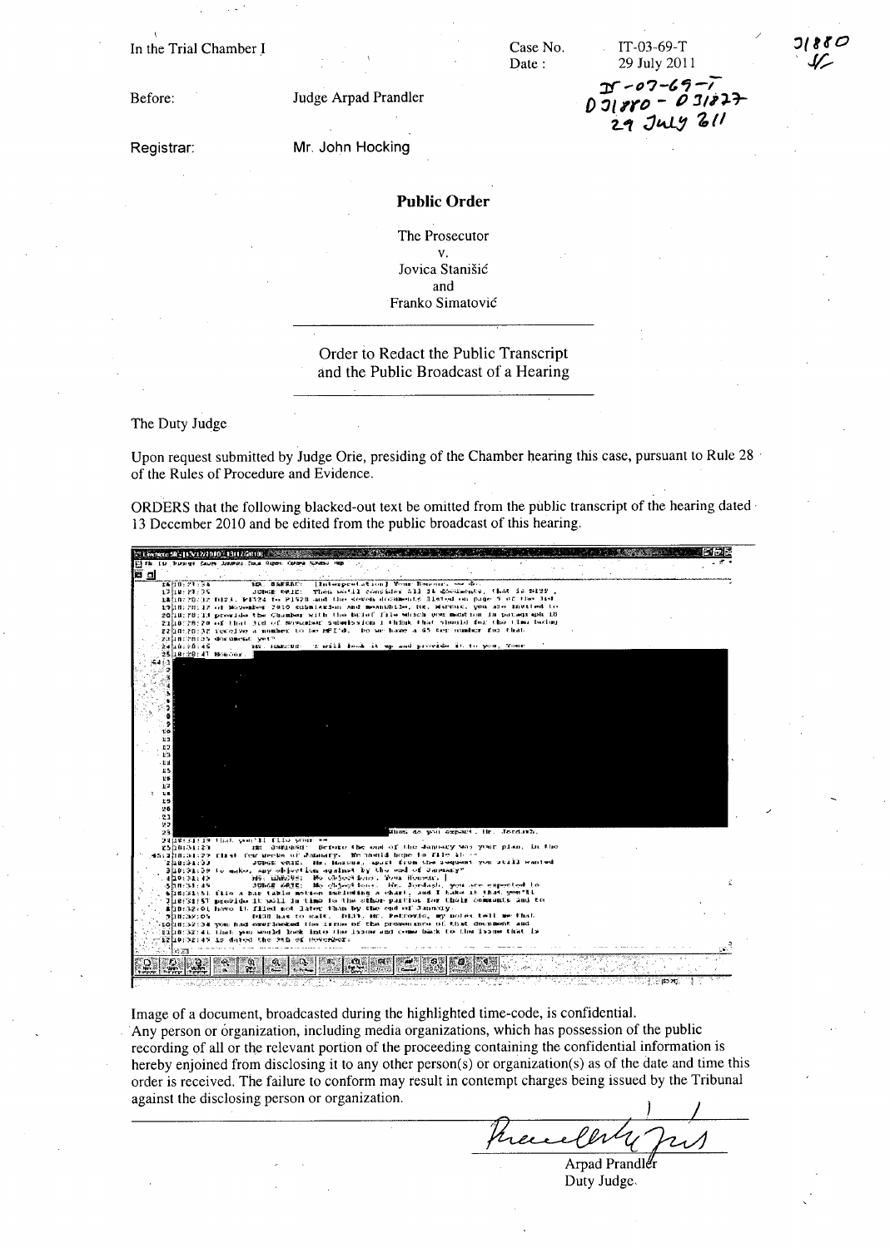In the Trial Chamber I

Date:

Case No.

 $D - 07 - 69.$  $D\overline{J}1880 - 031827$ 

29 July 211

IT-03-69-T 29 July 2011

Before:

Registrar:

Mr. John Hocking

Judge Arpad Prandler

## **Public Order**

The Prosecutor  $\mathbf{v}$ . Jovica Stanišić and Franko Simatović

Order to Redact the Public Transcript and the Public Broadcast of a Hearing

The Duty Judge

Upon request submitted by Judge Orie, presiding of the Chamber hearing this case, pursuant to Rule 28 · of the Rules of Procedure and Evidence.

ORDERS that the following blacked-out text be omitted from the public transcript of the hearing dated 13 December 2010 and be edited from the public broadcast of this hearing.



Image of a document, broadcasted during the highlighted time-code, is confidential. Any person or organization, including media organizations, which has possession of the public recording of all or the relevant portion of the proceeding containing the confidential information is hereby enjoined from disclosing it to any other person(s) or organization(s) as of the date and time this order is received. The failure to conform may result in contempt charges being issued by the Tribunal against the disclosing person or organization.

there

Arpad Prandler Duty Judge.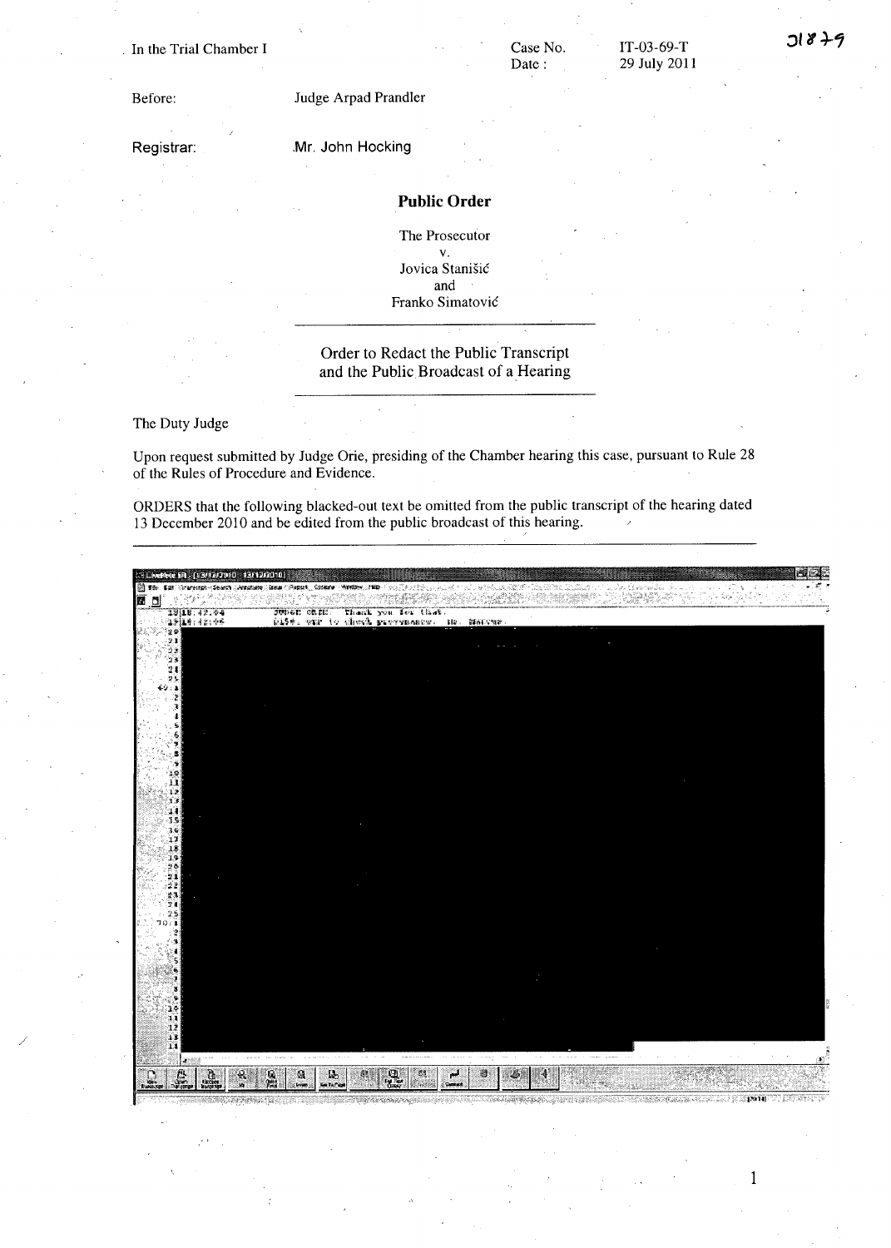#### · In the Trial Chamber I

# Case No. Date:

IT-03-69-T 29 July 2011

Before:

Registrar:

## Mr. John Hocking

Judge Arpad Prandler

### **Public Order**

The Prosecutor v. Jovica Stanisic and Franko Simatovic

### Order to Redact the Public Transcript and the Public Broadcast of a Hearing

#### The Duty Judge

/

Upon request submitted by Judge Orie, presiding of the Chamber hearing this case, pursuant to Rule 28 of the Rules of Procedure and Evidence.

ORDERS that the following blacked-out text be omitted from the public transcript of the hearing dated 13 December 2010 and be edited from the public broadcast of this hearing.



1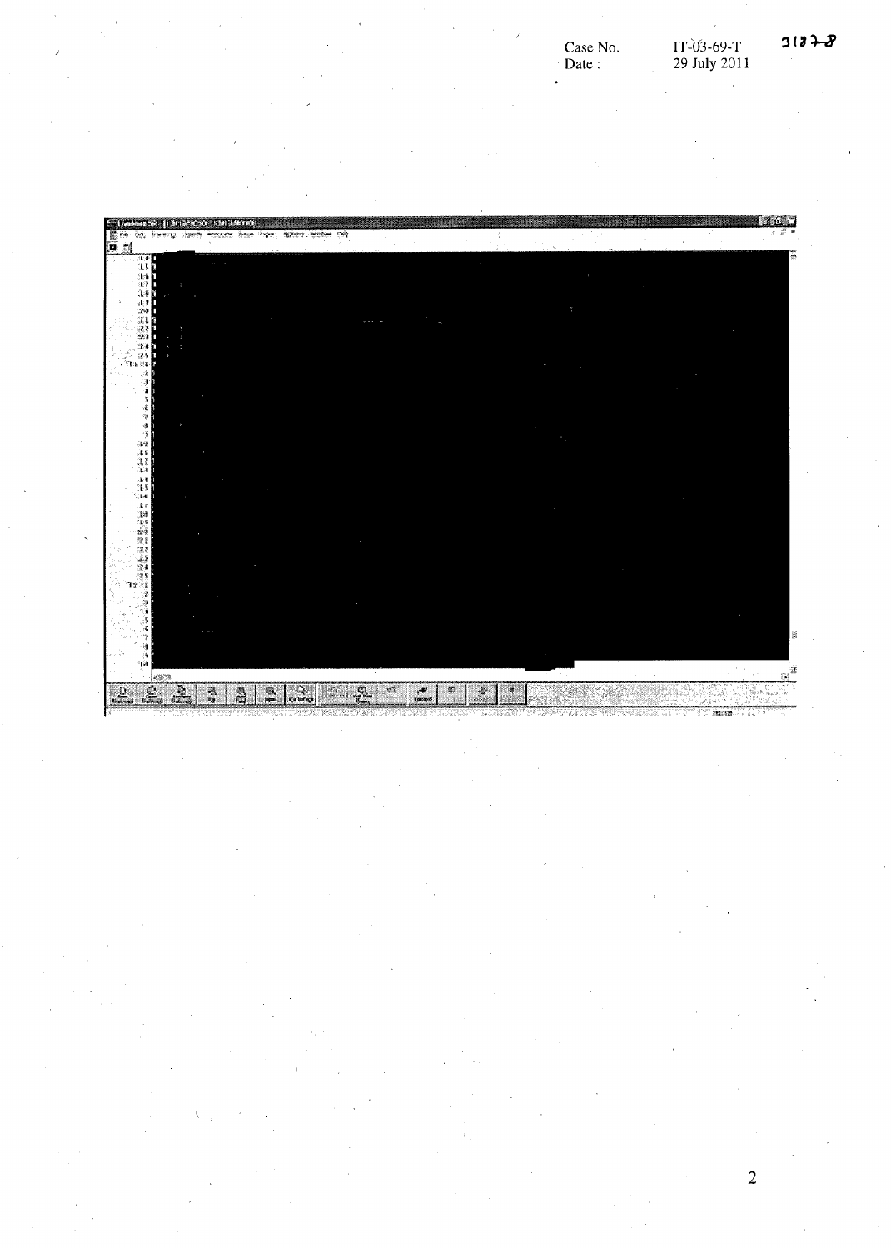i.

**MGLI** es paraso en Page ( Harry Model Off ñ  $\hat{\mathbf{r}}$ 1. 注意は100mm (1) Jź  $\mathbf{R}^{\bar{x}}$  $\blacksquare$ P  $\mathbb{R}$  $\overline{a}$  $\overline{\mathbb{R}}$  $R_{2} = 22.18$  $\frac{1}{2}$  $\mathbf{z}$  $\mathbb{R}$ **READ SE**  $\begin{pmatrix} \frac{\partial \mathbf{u}}{\partial \mathbf{u}} & \frac{\partial \mathbf{u}}{\partial \mathbf{u}} & \frac{\partial \mathbf{u}}{\partial \mathbf{u}} \end{pmatrix} = \begin{pmatrix} \frac{\partial \mathbf{u}}{\partial \mathbf{u}} & \frac{\partial \mathbf{u}}{\partial \mathbf{u}} & \frac{\partial \mathbf{u}}{\partial \mathbf{u}} \end{pmatrix}$  $\overline{\bf n}$ œ

2

rt met 1